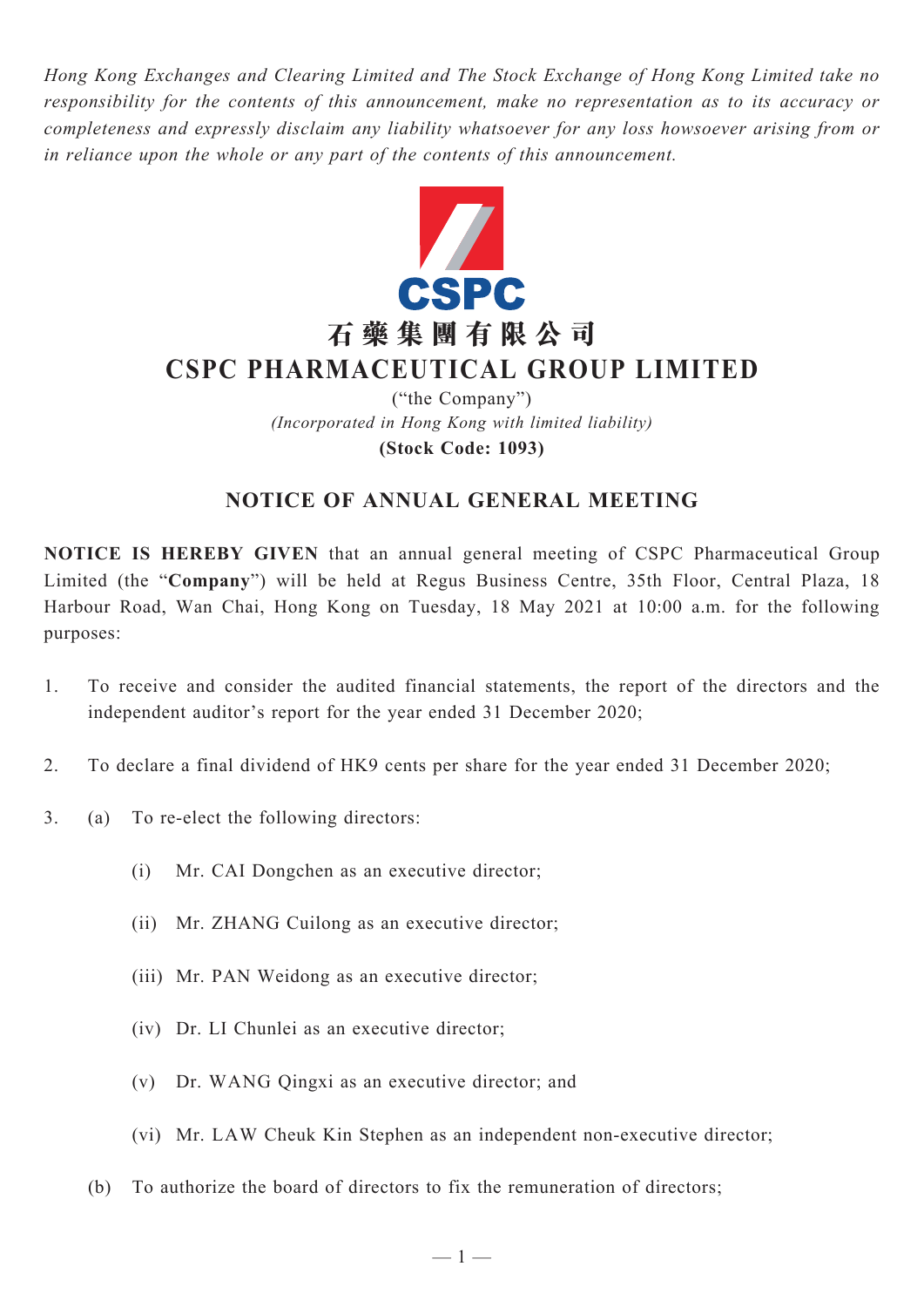*Hong Kong Exchanges and Clearing Limited and The Stock Exchange of Hong Kong Limited take no responsibility for the contents of this announcement, make no representation as to its accuracy or completeness and expressly disclaim any liability whatsoever for any loss howsoever arising from or in reliance upon the whole or any part of the contents of this announcement.*



# **石 藥 集 團 有 限 公 司 CSPC Pharmaceutical Group Limited**

("the Company") *(Incorporated in Hong Kong with limited liability)* **(Stock Code: 1093)**

## **NOTICE OF ANNUAL GENERAL MEETING**

**NOTICE IS HEREBY GIVEN** that an annual general meeting of CSPC Pharmaceutical Group Limited (the "**Company**") will be held at Regus Business Centre, 35th Floor, Central Plaza, 18 Harbour Road, Wan Chai, Hong Kong on Tuesday, 18 May 2021 at 10:00 a.m. for the following purposes:

- 1. To receive and consider the audited financial statements, the report of the directors and the independent auditor's report for the year ended 31 December 2020;
- 2. To declare a final dividend of HK9 cents per share for the year ended 31 December 2020;
- 3. (a) To re-elect the following directors:
	- (i) Mr. CAI Dongchen as an executive director;
	- (ii) Mr. ZHANG Cuilong as an executive director;
	- (iii) Mr. PAN Weidong as an executive director;
	- (iv) Dr. LI Chunlei as an executive director;
	- (v) Dr. WANG Qingxi as an executive director; and
	- (vi) Mr. Law Cheuk Kin Stephen as an independent non-executive director;
	- (b) To authorize the board of directors to fix the remuneration of directors;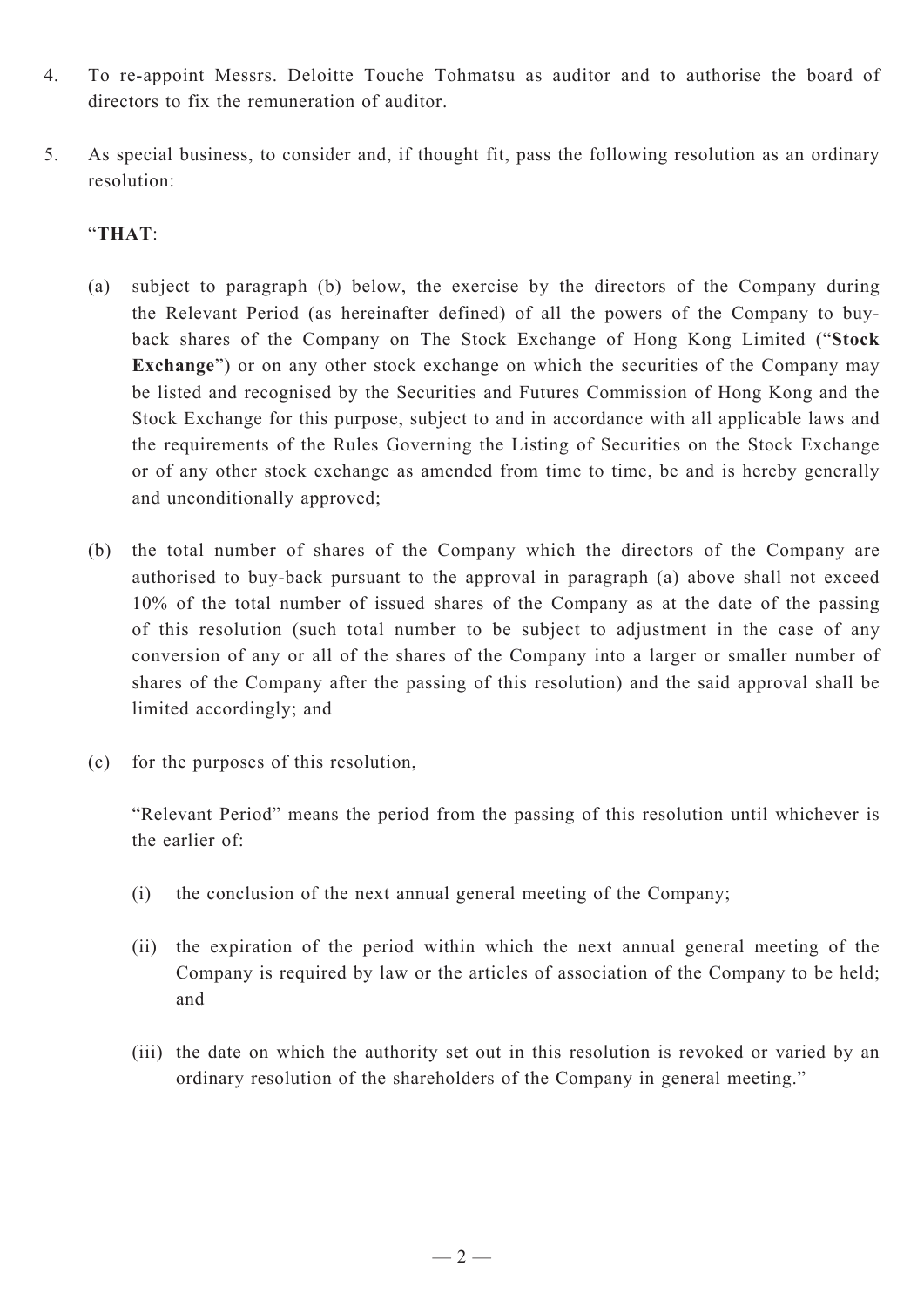- 4. To re-appoint Messrs. Deloitte Touche Tohmatsu as auditor and to authorise the board of directors to fix the remuneration of auditor.
- 5. As special business, to consider and, if thought fit, pass the following resolution as an ordinary resolution:

### "**THAT**:

- (a) subject to paragraph (b) below, the exercise by the directors of the Company during the Relevant Period (as hereinafter defined) of all the powers of the Company to buyback shares of the Company on The Stock Exchange of Hong Kong Limited ("**Stock Exchange**") or on any other stock exchange on which the securities of the Company may be listed and recognised by the Securities and Futures Commission of Hong Kong and the Stock Exchange for this purpose, subject to and in accordance with all applicable laws and the requirements of the Rules Governing the Listing of Securities on the Stock Exchange or of any other stock exchange as amended from time to time, be and is hereby generally and unconditionally approved;
- (b) the total number of shares of the Company which the directors of the Company are authorised to buy-back pursuant to the approval in paragraph (a) above shall not exceed 10% of the total number of issued shares of the Company as at the date of the passing of this resolution (such total number to be subject to adjustment in the case of any conversion of any or all of the shares of the Company into a larger or smaller number of shares of the Company after the passing of this resolution) and the said approval shall be limited accordingly; and
- (c) for the purposes of this resolution,

"Relevant Period" means the period from the passing of this resolution until whichever is the earlier of:

- (i) the conclusion of the next annual general meeting of the Company;
- (ii) the expiration of the period within which the next annual general meeting of the Company is required by law or the articles of association of the Company to be held; and
- (iii) the date on which the authority set out in this resolution is revoked or varied by an ordinary resolution of the shareholders of the Company in general meeting."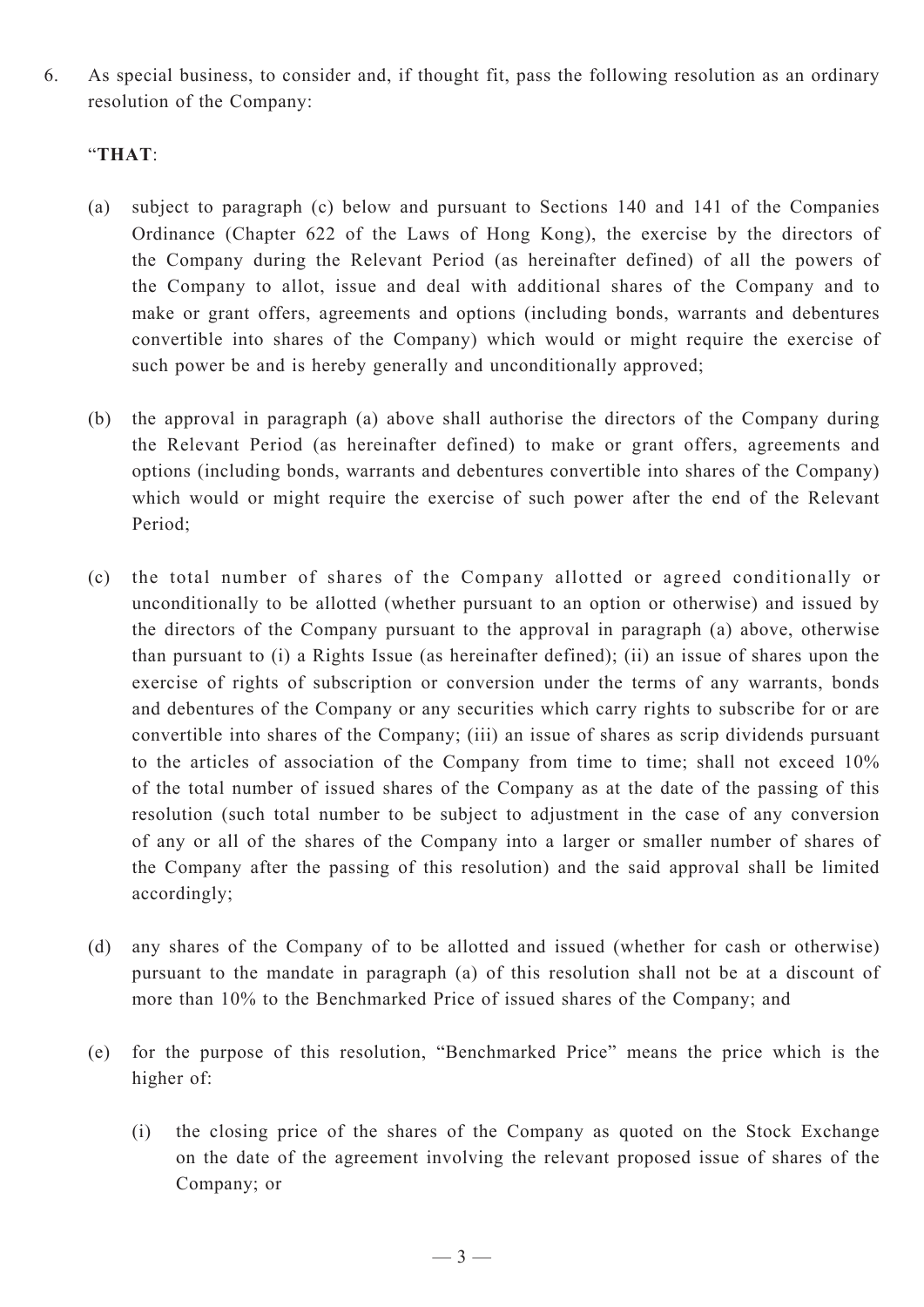6. As special business, to consider and, if thought fit, pass the following resolution as an ordinary resolution of the Company:

#### "**THAT**:

- (a) subject to paragraph (c) below and pursuant to Sections 140 and 141 of the Companies Ordinance (Chapter 622 of the Laws of Hong Kong), the exercise by the directors of the Company during the Relevant Period (as hereinafter defined) of all the powers of the Company to allot, issue and deal with additional shares of the Company and to make or grant offers, agreements and options (including bonds, warrants and debentures convertible into shares of the Company) which would or might require the exercise of such power be and is hereby generally and unconditionally approved;
- (b) the approval in paragraph (a) above shall authorise the directors of the Company during the Relevant Period (as hereinafter defined) to make or grant offers, agreements and options (including bonds, warrants and debentures convertible into shares of the Company) which would or might require the exercise of such power after the end of the Relevant Period;
- (c) the total number of shares of the Company allotted or agreed conditionally or unconditionally to be allotted (whether pursuant to an option or otherwise) and issued by the directors of the Company pursuant to the approval in paragraph (a) above, otherwise than pursuant to (i) a Rights Issue (as hereinafter defined); (ii) an issue of shares upon the exercise of rights of subscription or conversion under the terms of any warrants, bonds and debentures of the Company or any securities which carry rights to subscribe for or are convertible into shares of the Company; (iii) an issue of shares as scrip dividends pursuant to the articles of association of the Company from time to time; shall not exceed 10% of the total number of issued shares of the Company as at the date of the passing of this resolution (such total number to be subject to adjustment in the case of any conversion of any or all of the shares of the Company into a larger or smaller number of shares of the Company after the passing of this resolution) and the said approval shall be limited accordingly;
- (d) any shares of the Company of to be allotted and issued (whether for cash or otherwise) pursuant to the mandate in paragraph (a) of this resolution shall not be at a discount of more than 10% to the Benchmarked Price of issued shares of the Company; and
- (e) for the purpose of this resolution, "Benchmarked Price" means the price which is the higher of:
	- (i) the closing price of the shares of the Company as quoted on the Stock Exchange on the date of the agreement involving the relevant proposed issue of shares of the Company; or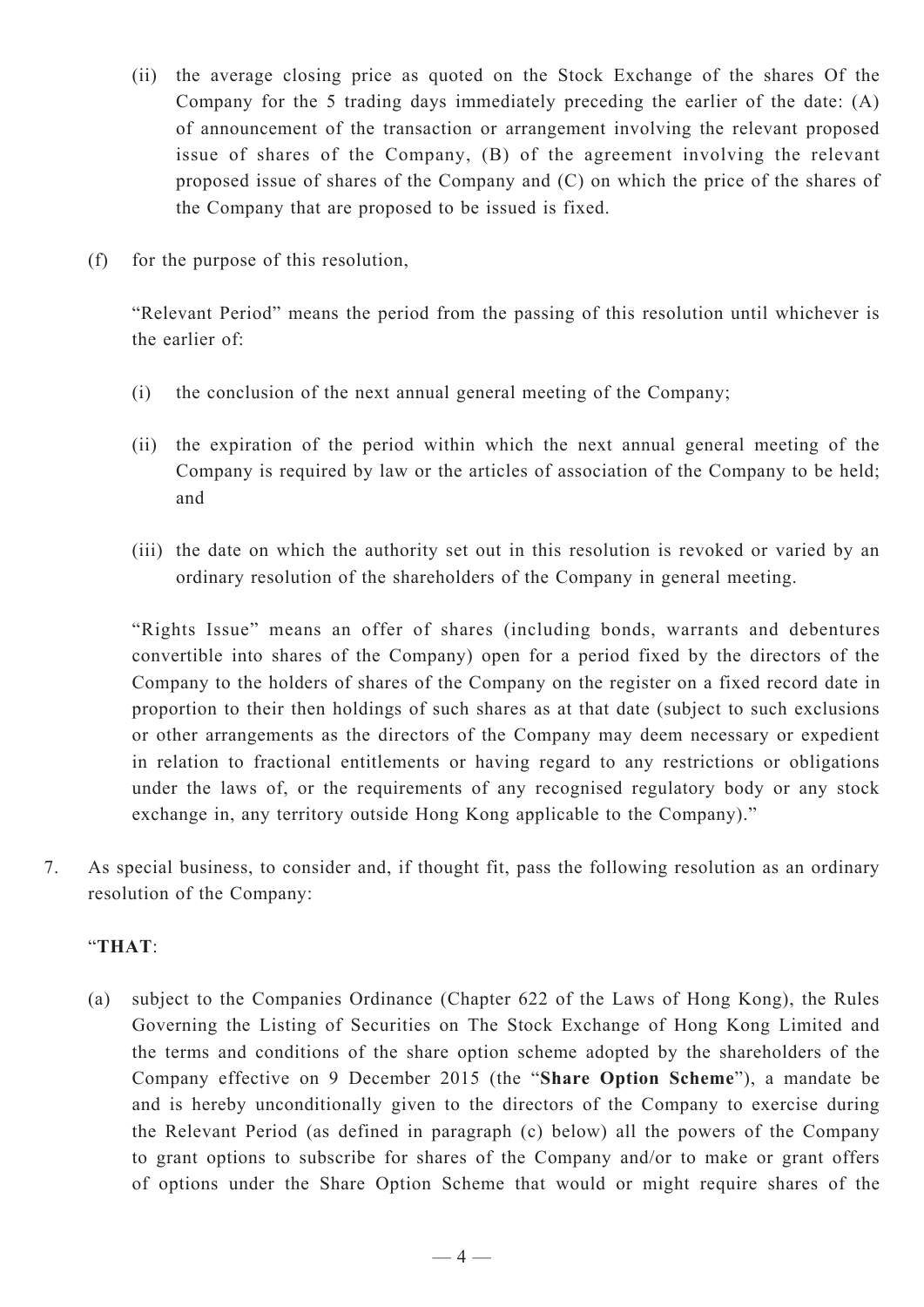- (ii) the average closing price as quoted on the Stock Exchange of the shares Of the Company for the 5 trading days immediately preceding the earlier of the date: (A) of announcement of the transaction or arrangement involving the relevant proposed issue of shares of the Company, (B) of the agreement involving the relevant proposed issue of shares of the Company and (C) on which the price of the shares of the Company that are proposed to be issued is fixed.
- (f) for the purpose of this resolution,

"Relevant Period" means the period from the passing of this resolution until whichever is the earlier of:

- (i) the conclusion of the next annual general meeting of the Company;
- (ii) the expiration of the period within which the next annual general meeting of the Company is required by law or the articles of association of the Company to be held; and
- (iii) the date on which the authority set out in this resolution is revoked or varied by an ordinary resolution of the shareholders of the Company in general meeting.

"Rights Issue" means an offer of shares (including bonds, warrants and debentures convertible into shares of the Company) open for a period fixed by the directors of the Company to the holders of shares of the Company on the register on a fixed record date in proportion to their then holdings of such shares as at that date (subject to such exclusions or other arrangements as the directors of the Company may deem necessary or expedient in relation to fractional entitlements or having regard to any restrictions or obligations under the laws of, or the requirements of any recognised regulatory body or any stock exchange in, any territory outside Hong Kong applicable to the Company)."

7. As special business, to consider and, if thought fit, pass the following resolution as an ordinary resolution of the Company:

#### "**THAT**:

(a) subject to the Companies Ordinance (Chapter 622 of the Laws of Hong Kong), the Rules Governing the Listing of Securities on The Stock Exchange of Hong Kong Limited and the terms and conditions of the share option scheme adopted by the shareholders of the Company effective on 9 December 2015 (the "**Share Option Scheme**"), a mandate be and is hereby unconditionally given to the directors of the Company to exercise during the Relevant Period (as defined in paragraph (c) below) all the powers of the Company to grant options to subscribe for shares of the Company and/or to make or grant offers of options under the Share Option Scheme that would or might require shares of the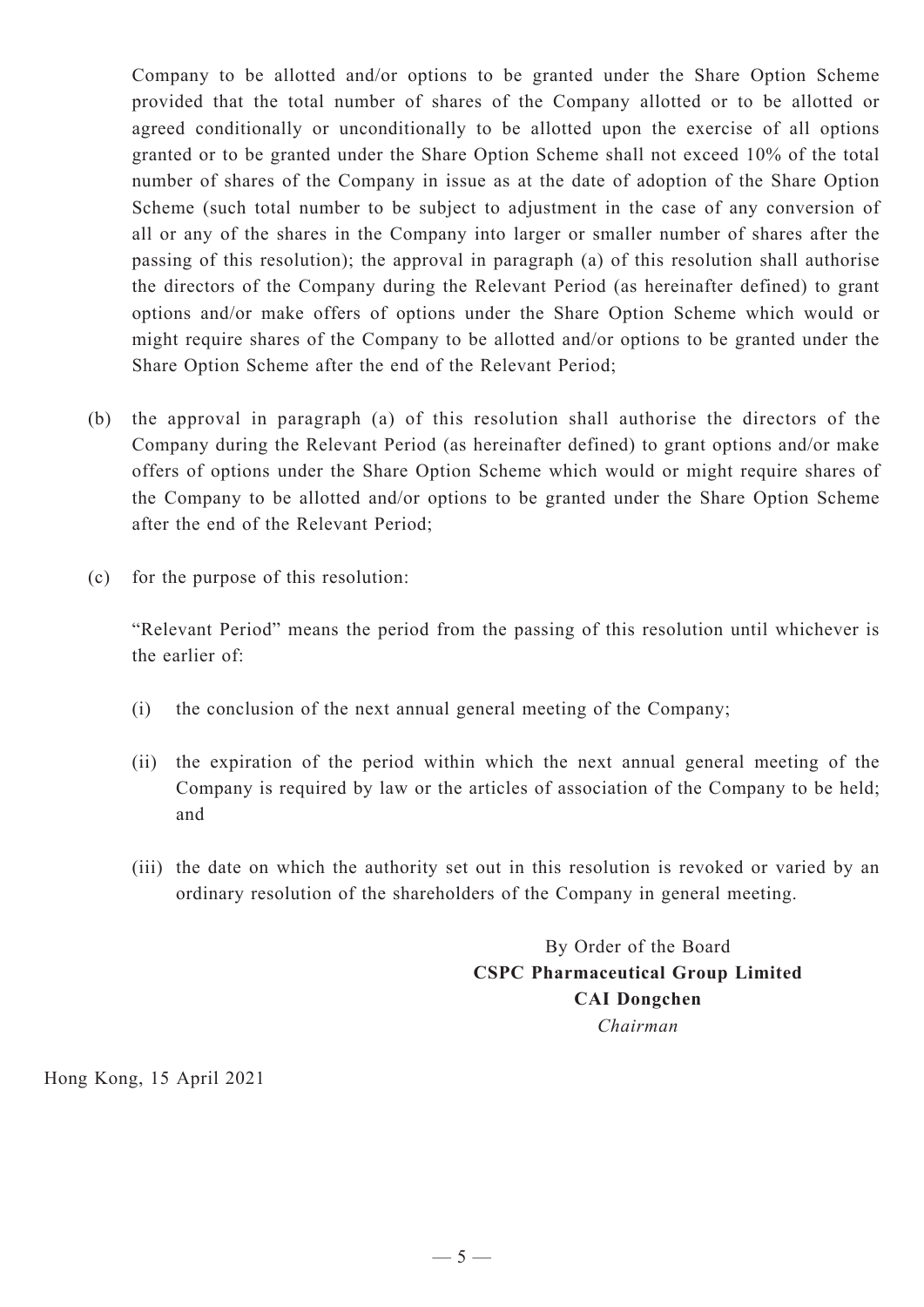Company to be allotted and/or options to be granted under the Share Option Scheme provided that the total number of shares of the Company allotted or to be allotted or agreed conditionally or unconditionally to be allotted upon the exercise of all options granted or to be granted under the Share Option Scheme shall not exceed 10% of the total number of shares of the Company in issue as at the date of adoption of the Share Option Scheme (such total number to be subject to adjustment in the case of any conversion of all or any of the shares in the Company into larger or smaller number of shares after the passing of this resolution); the approval in paragraph (a) of this resolution shall authorise the directors of the Company during the Relevant Period (as hereinafter defined) to grant options and/or make offers of options under the Share Option Scheme which would or might require shares of the Company to be allotted and/or options to be granted under the Share Option Scheme after the end of the Relevant Period;

- (b) the approval in paragraph (a) of this resolution shall authorise the directors of the Company during the Relevant Period (as hereinafter defined) to grant options and/or make offers of options under the Share Option Scheme which would or might require shares of the Company to be allotted and/or options to be granted under the Share Option Scheme after the end of the Relevant Period;
- (c) for the purpose of this resolution:

"Relevant Period" means the period from the passing of this resolution until whichever is the earlier of:

- (i) the conclusion of the next annual general meeting of the Company;
- (ii) the expiration of the period within which the next annual general meeting of the Company is required by law or the articles of association of the Company to be held; and
- (iii) the date on which the authority set out in this resolution is revoked or varied by an ordinary resolution of the shareholders of the Company in general meeting.

By Order of the Board **CSPC Pharmaceutical Group Limited CAI Dongchen** *Chairman*

Hong Kong, 15 April 2021